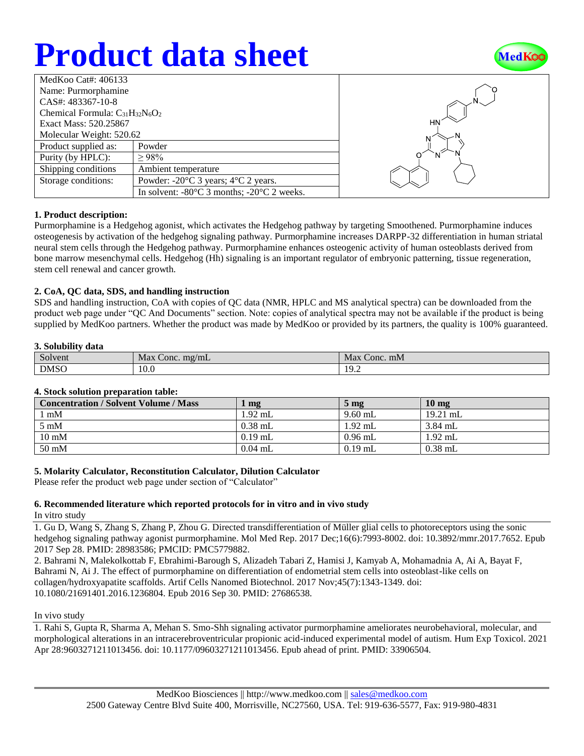# **Product data sheet**



| MedKoo Cat#: $406133$                  |                                                                |  |  |  |
|----------------------------------------|----------------------------------------------------------------|--|--|--|
| Name: Purmorphamine                    |                                                                |  |  |  |
| CAS#: 483367-10-8                      |                                                                |  |  |  |
| Chemical Formula: $C_{31}H_{32}N_6O_2$ |                                                                |  |  |  |
| Exact Mass: 520.25867                  |                                                                |  |  |  |
| Molecular Weight: 520.62               |                                                                |  |  |  |
| Product supplied as:                   | Powder                                                         |  |  |  |
| Purity (by HPLC):                      | >98%                                                           |  |  |  |
| Shipping conditions                    | Ambient temperature                                            |  |  |  |
| Storage conditions:                    | Powder: $-20^{\circ}$ C 3 years; $4^{\circ}$ C 2 years.        |  |  |  |
|                                        | In solvent: $-80^{\circ}$ C 3 months; $-20^{\circ}$ C 2 weeks. |  |  |  |



#### **1. Product description:**

Purmorphamine is a Hedgehog agonist, which activates the Hedgehog pathway by targeting Smoothened. Purmorphamine induces osteogenesis by activation of the hedgehog signaling pathway. Purmorphamine increases DARPP-32 differentiation in human striatal neural stem cells through the Hedgehog pathway. Purmorphamine enhances osteogenic activity of human osteoblasts derived from bone marrow mesenchymal cells. Hedgehog (Hh) signaling is an important regulator of embryonic patterning, tissue regeneration, stem cell renewal and cancer growth.

#### **2. CoA, QC data, SDS, and handling instruction**

SDS and handling instruction, CoA with copies of QC data (NMR, HPLC and MS analytical spectra) can be downloaded from the product web page under "QC And Documents" section. Note: copies of analytical spectra may not be available if the product is being supplied by MedKoo partners. Whether the product was made by MedKoo or provided by its partners, the quality is 100% guaranteed.

#### **3. Solubility data**

| $\sim$<br>Solvent | Max<br>$m\Omega/mL$<br>Conc. | Max<br>: Conc. mM |
|-------------------|------------------------------|-------------------|
| <b>DMSO</b>       | 10.0                         | 10<br>17.Z        |

#### **4. Stock solution preparation table:**

| <b>Concentration / Solvent Volume / Mass</b> | mg        | $5 \text{ mg}$ | 10 <sub>mg</sub> |
|----------------------------------------------|-----------|----------------|------------------|
| l mM                                         | $1.92$ mL | $9.60$ mL      | $19.21$ mL       |
| $5 \text{ mM}$                               | $0.38$ mL | 1.92 mL        | $3.84$ mL        |
| $10 \text{ mM}$                              | $0.19$ mL | $0.96$ mL      | $1.92$ mL        |
| $50 \text{ mM}$                              | $0.04$ mL | $0.19$ mL      | $0.38$ mL        |

#### **5. Molarity Calculator, Reconstitution Calculator, Dilution Calculator**

Please refer the product web page under section of "Calculator"

### **6. Recommended literature which reported protocols for in vitro and in vivo study**

#### In vitro study

1. Gu D, Wang S, Zhang S, Zhang P, Zhou G. Directed transdifferentiation of Müller glial cells to photoreceptors using the sonic hedgehog signaling pathway agonist purmorphamine. Mol Med Rep. 2017 Dec;16(6):7993-8002. doi: 10.3892/mmr.2017.7652. Epub 2017 Sep 28. PMID: 28983586; PMCID: PMC5779882.

2. Bahrami N, Malekolkottab F, Ebrahimi-Barough S, Alizadeh Tabari Z, Hamisi J, Kamyab A, Mohamadnia A, Ai A, Bayat F, Bahrami N, Ai J. The effect of purmorphamine on differentiation of endometrial stem cells into osteoblast-like cells on collagen/hydroxyapatite scaffolds. Artif Cells Nanomed Biotechnol. 2017 Nov;45(7):1343-1349. doi: 10.1080/21691401.2016.1236804. Epub 2016 Sep 30. PMID: 27686538.

#### In vivo study

1. Rahi S, Gupta R, Sharma A, Mehan S. Smo-Shh signaling activator purmorphamine ameliorates neurobehavioral, molecular, and morphological alterations in an intracerebroventricular propionic acid-induced experimental model of autism. Hum Exp Toxicol. 2021 Apr 28:9603271211013456. doi: 10.1177/09603271211013456. Epub ahead of print. PMID: 33906504.